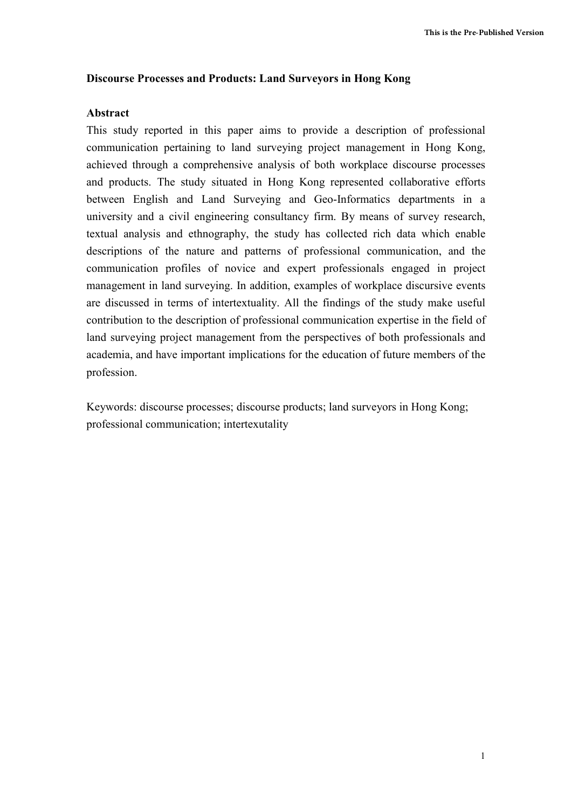### **Discourse Processes and Products: Land Surveyors in Hong Kong**

### **Abstract**

This study reported in this paper aims to provide a description of professional communication pertaining to land surveying project management in Hong Kong, achieved through a comprehensive analysis of both workplace discourse processes and products. The study situated in Hong Kong represented collaborative efforts between English and Land Surveying and Geo-Informatics departments in a university and a civil engineering consultancy firm. By means of survey research, textual analysis and ethnography, the study has collected rich data which enable descriptions of the nature and patterns of professional communication, and the communication profiles of novice and expert professionals engaged in project management in land surveying. In addition, examples of workplace discursive events are discussed in terms of intertextuality. All the findings of the study make useful contribution to the description of professional communication expertise in the field of land surveying project management from the perspectives of both professionals and academia, and have important implications for the education of future members of the profession.

Keywords: discourse processes; discourse products; land surveyors in Hong Kong; professional communication; intertexutality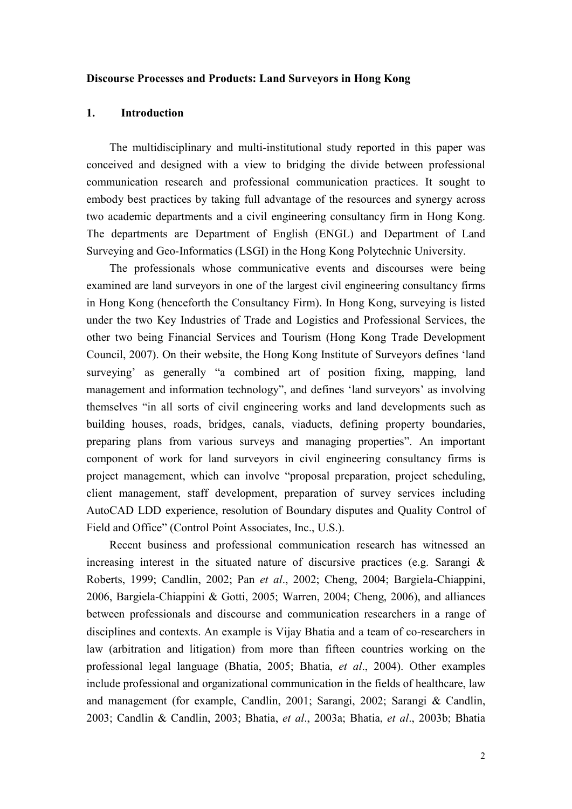#### **Discourse Processes and Products: Land Surveyors in Hong Kong**

### **1. Introduction**

The multidisciplinary and multi-institutional study reported in this paper was conceived and designed with a view to bridging the divide between professional communication research and professional communication practices. It sought to embody best practices by taking full advantage of the resources and synergy across two academic departments and a civil engineering consultancy firm in Hong Kong. The departments are Department of English (ENGL) and Department of Land Surveying and Geo-Informatics (LSGI) in the Hong Kong Polytechnic University.

The professionals whose communicative events and discourses were being examined are land surveyors in one of the largest civil engineering consultancy firms in Hong Kong (henceforth the Consultancy Firm). In Hong Kong, surveying is listed under the two Key Industries of Trade and Logistics and Professional Services, the other two being Financial Services and Tourism (Hong Kong Trade Development Council, 2007). On their website, the Hong Kong Institute of Surveyors defines 'land surveying' as generally "a combined art of position fixing, mapping, land management and information technology", and defines 'land surveyors' as involving themselves "in all sorts of civil engineering works and land developments such as building houses, roads, bridges, canals, viaducts, defining property boundaries, preparing plans from various surveys and managing properties". An important component of work for land surveyors in civil engineering consultancy firms is project management, which can involve "proposal preparation, project scheduling, client management, staff development, preparation of survey services including AutoCAD LDD experience, resolution of Boundary disputes and Quality Control of Field and Office" (Control Point Associates, Inc., U.S.).

Recent business and professional communication research has witnessed an increasing interest in the situated nature of discursive practices (e.g. Sarangi  $\&$ Roberts, 1999; Candlin, 2002; Pan *et al*., 2002; Cheng, 2004; Bargiela-Chiappini, 2006, Bargiela-Chiappini & Gotti, 2005; Warren, 2004; Cheng, 2006), and alliances between professionals and discourse and communication researchers in a range of disciplines and contexts. An example is Vijay Bhatia and a team of co-researchers in law (arbitration and litigation) from more than fifteen countries working on the professional legal language (Bhatia, 2005; Bhatia, *et al*., 2004). Other examples include professional and organizational communication in the fields of healthcare, law and management (for example, Candlin, 2001; Sarangi, 2002; Sarangi & Candlin, 2003; Candlin & Candlin, 2003; Bhatia, *et al*., 2003a; Bhatia, *et al*., 2003b; Bhatia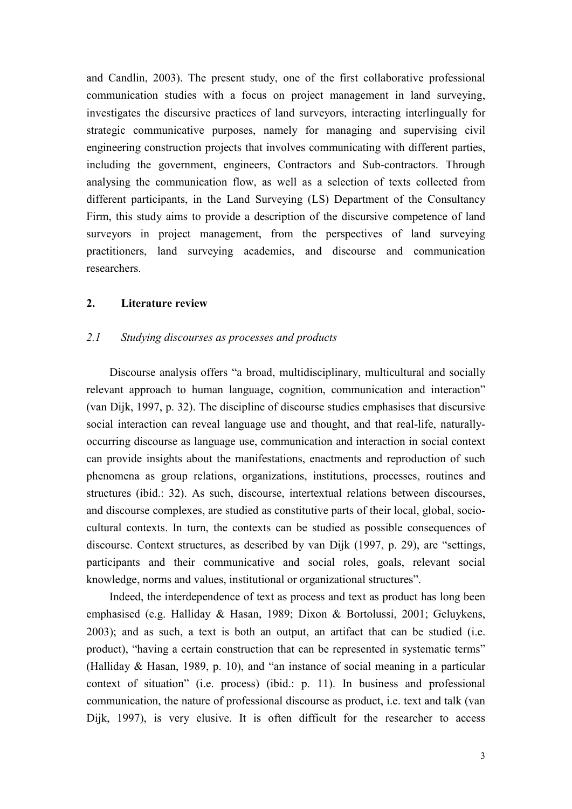and Candlin, 2003). The present study, one of the first collaborative professional communication studies with a focus on project management in land surveying, investigates the discursive practices of land surveyors, interacting interlingually for strategic communicative purposes, namely for managing and supervising civil engineering construction projects that involves communicating with different parties, including the government, engineers, Contractors and Sub-contractors. Through analysing the communication flow, as well as a selection of texts collected from different participants, in the Land Surveying (LS) Department of the Consultancy Firm, this study aims to provide a description of the discursive competence of land surveyors in project management, from the perspectives of land surveying practitioners, land surveying academics, and discourse and communication researchers.

### **2. Literature review**

#### *2.1 Studying discourses as processes and products*

Discourse analysis offers "a broad, multidisciplinary, multicultural and socially relevant approach to human language, cognition, communication and interaction" (van Dijk, 1997, p. 32). The discipline of discourse studies emphasises that discursive social interaction can reveal language use and thought, and that real-life, naturallyoccurring discourse as language use, communication and interaction in social context can provide insights about the manifestations, enactments and reproduction of such phenomena as group relations, organizations, institutions, processes, routines and structures (ibid.: 32). As such, discourse, intertextual relations between discourses, and discourse complexes, are studied as constitutive parts of their local, global, sociocultural contexts. In turn, the contexts can be studied as possible consequences of discourse. Context structures, as described by van Dijk (1997, p. 29), are "settings, participants and their communicative and social roles, goals, relevant social knowledge, norms and values, institutional or organizational structures".

Indeed, the interdependence of text as process and text as product has long been emphasised (e.g. Halliday & Hasan, 1989; Dixon & Bortolussi, 2001; Geluykens, 2003); and as such, a text is both an output, an artifact that can be studied (i.e. product), "having a certain construction that can be represented in systematic terms" (Halliday & Hasan, 1989, p. 10), and "an instance of social meaning in a particular context of situation" (i.e. process) (ibid.: p. 11). In business and professional communication, the nature of professional discourse as product, i.e. text and talk (van Dijk, 1997), is very elusive. It is often difficult for the researcher to access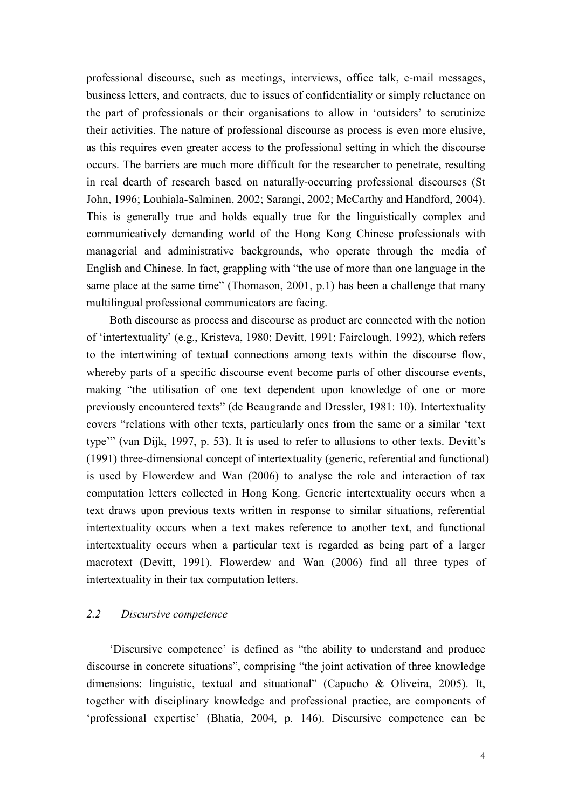professional discourse, such as meetings, interviews, office talk, e-mail messages, business letters, and contracts, due to issues of confidentiality or simply reluctance on the part of professionals or their organisations to allow in 'outsiders' to scrutinize their activities. The nature of professional discourse as process is even more elusive, as this requires even greater access to the professional setting in which the discourse occurs. The barriers are much more difficult for the researcher to penetrate, resulting in real dearth of research based on naturally-occurring professional discourses (St John, 1996; Louhiala-Salminen, 2002; Sarangi, 2002; McCarthy and Handford, 2004). This is generally true and holds equally true for the linguistically complex and communicatively demanding world of the Hong Kong Chinese professionals with managerial and administrative backgrounds, who operate through the media of English and Chinese. In fact, grappling with "the use of more than one language in the same place at the same time" (Thomason, 2001, p.1) has been a challenge that many multilingual professional communicators are facing.

Both discourse as process and discourse as product are connected with the notion of 'intertextuality' (e.g., Kristeva, 1980; Devitt, 1991; Fairclough, 1992), which refers to the intertwining of textual connections among texts within the discourse flow, whereby parts of a specific discourse event become parts of other discourse events, making "the utilisation of one text dependent upon knowledge of one or more previously encountered texts" (de Beaugrande and Dressler, 1981: 10). Intertextuality covers "relations with other texts, particularly ones from the same or a similar 'text type'" (van Dijk, 1997, p. 53). It is used to refer to allusions to other texts. Devitt's (1991) three-dimensional concept of intertextuality (generic, referential and functional) is used by Flowerdew and Wan (2006) to analyse the role and interaction of tax computation letters collected in Hong Kong. Generic intertextuality occurs when a text draws upon previous texts written in response to similar situations, referential intertextuality occurs when a text makes reference to another text, and functional intertextuality occurs when a particular text is regarded as being part of a larger macrotext (Devitt, 1991). Flowerdew and Wan (2006) find all three types of intertextuality in their tax computation letters.

# *2.2 Discursive competence*

'Discursive competence' is defined as "the ability to understand and produce discourse in concrete situations", comprising "the joint activation of three knowledge dimensions: linguistic, textual and situational" (Capucho & Oliveira, 2005). It, together with disciplinary knowledge and professional practice, are components of 'professional expertise' (Bhatia, 2004, p. 146). Discursive competence can be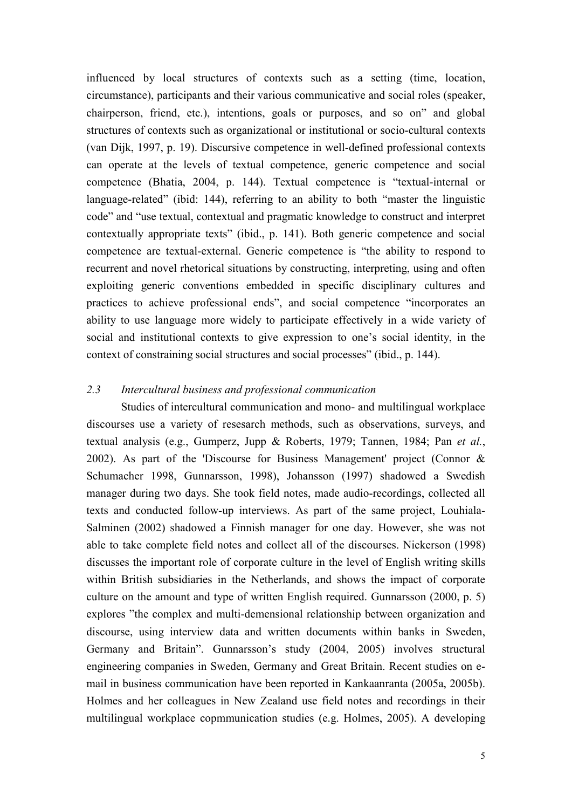influenced by local structures of contexts such as a setting (time, location, circumstance), participants and their various communicative and social roles (speaker, chairperson, friend, etc.), intentions, goals or purposes, and so on" and global structures of contexts such as organizational or institutional or socio-cultural contexts (van Dijk, 1997, p. 19). Discursive competence in well-defined professional contexts can operate at the levels of textual competence, generic competence and social competence (Bhatia, 2004, p. 144). Textual competence is "textual-internal or language-related" (ibid: 144), referring to an ability to both "master the linguistic code" and "use textual, contextual and pragmatic knowledge to construct and interpret contextually appropriate texts" (ibid., p. 141). Both generic competence and social competence are textual-external. Generic competence is "the ability to respond to recurrent and novel rhetorical situations by constructing, interpreting, using and often exploiting generic conventions embedded in specific disciplinary cultures and practices to achieve professional ends", and social competence "incorporates an ability to use language more widely to participate effectively in a wide variety of social and institutional contexts to give expression to one's social identity, in the context of constraining social structures and social processes" (ibid., p. 144).

# *2.3 Intercultural business and professional communication*

 Studies of intercultural communication and mono- and multilingual workplace discourses use a variety of resesarch methods, such as observations, surveys, and textual analysis (e.g., Gumperz, Jupp & Roberts, 1979; Tannen, 1984; Pan *et al.*, 2002). As part of the 'Discourse for Business Management' project (Connor & Schumacher 1998, Gunnarsson, 1998), Johansson (1997) shadowed a Swedish manager during two days. She took field notes, made audio-recordings, collected all texts and conducted follow-up interviews. As part of the same project, Louhiala-Salminen (2002) shadowed a Finnish manager for one day. However, she was not able to take complete field notes and collect all of the discourses. Nickerson (1998) discusses the important role of corporate culture in the level of English writing skills within British subsidiaries in the Netherlands, and shows the impact of corporate culture on the amount and type of written English required. Gunnarsson (2000, p. 5) explores "the complex and multi-demensional relationship between organization and discourse, using interview data and written documents within banks in Sweden, Germany and Britain". Gunnarsson's study (2004, 2005) involves structural engineering companies in Sweden, Germany and Great Britain. Recent studies on email in business communication have been reported in Kankaanranta (2005a, 2005b). Holmes and her colleagues in New Zealand use field notes and recordings in their multilingual workplace copmmunication studies (e.g. Holmes, 2005). A developing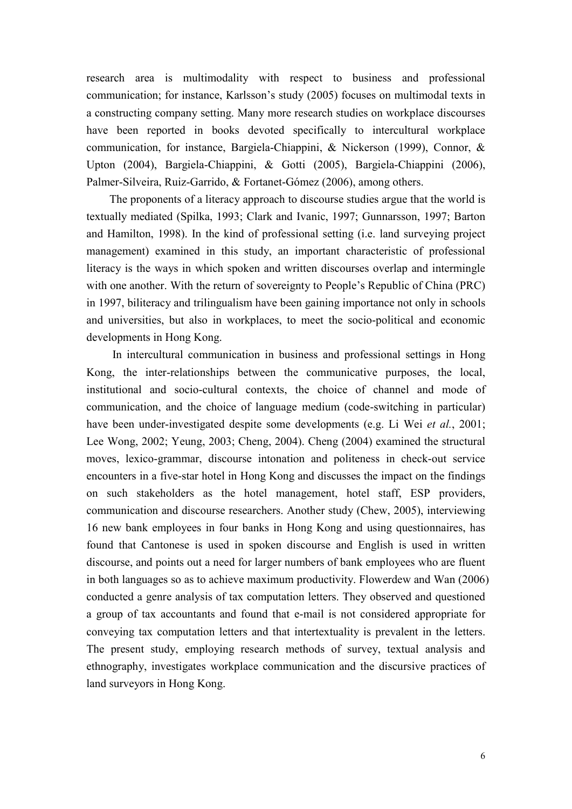research area is multimodality with respect to business and professional communication; for instance, Karlsson's study (2005) focuses on multimodal texts in a constructing company setting. Many more research studies on workplace discourses have been reported in books devoted specifically to intercultural workplace communication, for instance, Bargiela-Chiappini, & Nickerson (1999), Connor, & Upton (2004), Bargiela-Chiappini, & Gotti (2005), Bargiela-Chiappini (2006), Palmer-Silveira, Ruiz-Garrido, & Fortanet-Gómez (2006), among others.

The proponents of a literacy approach to discourse studies argue that the world is textually mediated (Spilka, 1993; Clark and Ivanic, 1997; Gunnarsson, 1997; Barton and Hamilton, 1998). In the kind of professional setting (i.e. land surveying project management) examined in this study, an important characteristic of professional literacy is the ways in which spoken and written discourses overlap and intermingle with one another. With the return of sovereignty to People's Republic of China (PRC) in 1997, biliteracy and trilingualism have been gaining importance not only in schools and universities, but also in workplaces, to meet the socio-political and economic developments in Hong Kong.

 In intercultural communication in business and professional settings in Hong Kong, the inter-relationships between the communicative purposes, the local, institutional and socio-cultural contexts, the choice of channel and mode of communication, and the choice of language medium (code-switching in particular) have been under-investigated despite some developments (e.g. Li Wei *et al.*, 2001; Lee Wong, 2002; Yeung, 2003; Cheng, 2004). Cheng (2004) examined the structural moves, lexico-grammar, discourse intonation and politeness in check-out service encounters in a five-star hotel in Hong Kong and discusses the impact on the findings on such stakeholders as the hotel management, hotel staff, ESP providers, communication and discourse researchers. Another study (Chew, 2005), interviewing 16 new bank employees in four banks in Hong Kong and using questionnaires, has found that Cantonese is used in spoken discourse and English is used in written discourse, and points out a need for larger numbers of bank employees who are fluent in both languages so as to achieve maximum productivity. Flowerdew and Wan (2006) conducted a genre analysis of tax computation letters. They observed and questioned a group of tax accountants and found that e-mail is not considered appropriate for conveying tax computation letters and that intertextuality is prevalent in the letters. The present study, employing research methods of survey, textual analysis and ethnography, investigates workplace communication and the discursive practices of land surveyors in Hong Kong.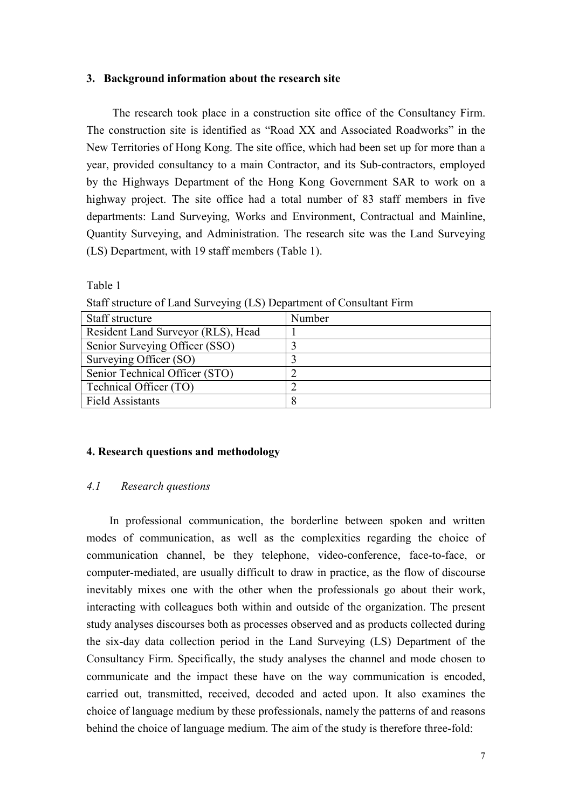#### **3. Background information about the research site**

 The research took place in a construction site office of the Consultancy Firm. The construction site is identified as "Road XX and Associated Roadworks" in the New Territories of Hong Kong. The site office, which had been set up for more than a year, provided consultancy to a main Contractor, and its Sub-contractors, employed by the Highways Department of the Hong Kong Government SAR to work on a highway project. The site office had a total number of 83 staff members in five departments: Land Surveying, Works and Environment, Contractual and Mainline, Quantity Surveying, and Administration. The research site was the Land Surveying (LS) Department, with 19 staff members (Table 1).

Table 1

| Staff structure                    | Number |
|------------------------------------|--------|
| Resident Land Surveyor (RLS), Head |        |
| Senior Surveying Officer (SSO)     |        |
| Surveying Officer (SO)             |        |
| Senior Technical Officer (STO)     |        |
| Technical Officer (TO)             |        |
| <b>Field Assistants</b>            |        |

Staff structure of Land Surveying (LS) Department of Consultant Firm

#### **4. Research questions and methodology**

### *4.1 Research questions*

In professional communication, the borderline between spoken and written modes of communication, as well as the complexities regarding the choice of communication channel, be they telephone, video-conference, face-to-face, or computer-mediated, are usually difficult to draw in practice, as the flow of discourse inevitably mixes one with the other when the professionals go about their work, interacting with colleagues both within and outside of the organization. The present study analyses discourses both as processes observed and as products collected during the six-day data collection period in the Land Surveying (LS) Department of the Consultancy Firm. Specifically, the study analyses the channel and mode chosen to communicate and the impact these have on the way communication is encoded, carried out, transmitted, received, decoded and acted upon. It also examines the choice of language medium by these professionals, namely the patterns of and reasons behind the choice of language medium. The aim of the study is therefore three-fold: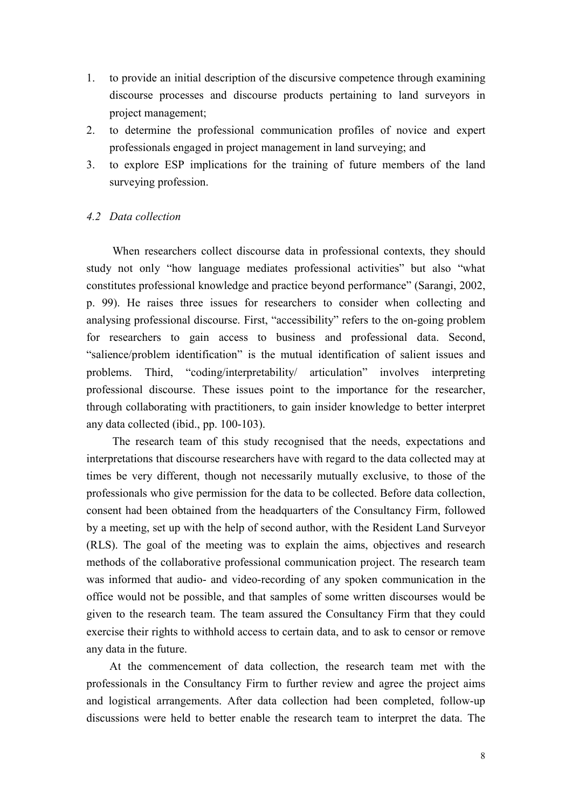- 1. to provide an initial description of the discursive competence through examining discourse processes and discourse products pertaining to land surveyors in project management;
- 2. to determine the professional communication profiles of novice and expert professionals engaged in project management in land surveying; and
- 3. to explore ESP implications for the training of future members of the land surveying profession.

# *4.2 Data collection*

 When researchers collect discourse data in professional contexts, they should study not only "how language mediates professional activities" but also "what constitutes professional knowledge and practice beyond performance" (Sarangi, 2002, p. 99). He raises three issues for researchers to consider when collecting and analysing professional discourse. First, "accessibility" refers to the on-going problem for researchers to gain access to business and professional data. Second, "salience/problem identification" is the mutual identification of salient issues and problems. Third, "coding/interpretability/ articulation" involves interpreting professional discourse. These issues point to the importance for the researcher, through collaborating with practitioners, to gain insider knowledge to better interpret any data collected (ibid., pp. 100-103).

 The research team of this study recognised that the needs, expectations and interpretations that discourse researchers have with regard to the data collected may at times be very different, though not necessarily mutually exclusive, to those of the professionals who give permission for the data to be collected. Before data collection, consent had been obtained from the headquarters of the Consultancy Firm, followed by a meeting, set up with the help of second author, with the Resident Land Surveyor (RLS). The goal of the meeting was to explain the aims, objectives and research methods of the collaborative professional communication project. The research team was informed that audio- and video-recording of any spoken communication in the office would not be possible, and that samples of some written discourses would be given to the research team. The team assured the Consultancy Firm that they could exercise their rights to withhold access to certain data, and to ask to censor or remove any data in the future.

 At the commencement of data collection, the research team met with the professionals in the Consultancy Firm to further review and agree the project aims and logistical arrangements. After data collection had been completed, follow-up discussions were held to better enable the research team to interpret the data. The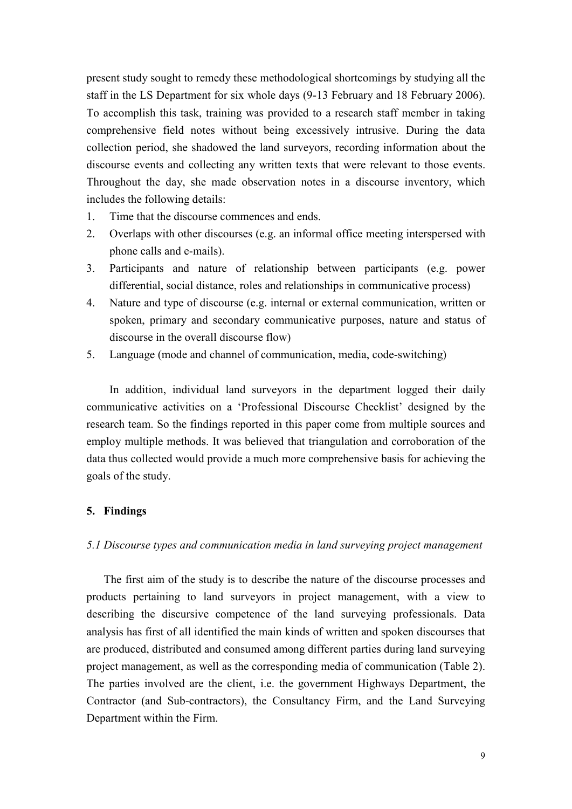present study sought to remedy these methodological shortcomings by studying all the staff in the LS Department for six whole days (9-13 February and 18 February 2006). To accomplish this task, training was provided to a research staff member in taking comprehensive field notes without being excessively intrusive. During the data collection period, she shadowed the land surveyors, recording information about the discourse events and collecting any written texts that were relevant to those events. Throughout the day, she made observation notes in a discourse inventory, which includes the following details:

- 1. Time that the discourse commences and ends.
- 2. Overlaps with other discourses (e.g. an informal office meeting interspersed with phone calls and e-mails).
- 3. Participants and nature of relationship between participants (e.g. power differential, social distance, roles and relationships in communicative process)
- 4. Nature and type of discourse (e.g. internal or external communication, written or spoken, primary and secondary communicative purposes, nature and status of discourse in the overall discourse flow)
- 5. Language (mode and channel of communication, media, code-switching)

 In addition, individual land surveyors in the department logged their daily communicative activities on a 'Professional Discourse Checklist' designed by the research team. So the findings reported in this paper come from multiple sources and employ multiple methods. It was believed that triangulation and corroboration of the data thus collected would provide a much more comprehensive basis for achieving the goals of the study.

## **5. Findings**

### *5.1 Discourse types and communication media in land surveying project management*

 The first aim of the study is to describe the nature of the discourse processes and products pertaining to land surveyors in project management, with a view to describing the discursive competence of the land surveying professionals. Data analysis has first of all identified the main kinds of written and spoken discourses that are produced, distributed and consumed among different parties during land surveying project management, as well as the corresponding media of communication (Table 2). The parties involved are the client, i.e. the government Highways Department, the Contractor (and Sub-contractors), the Consultancy Firm, and the Land Surveying Department within the Firm.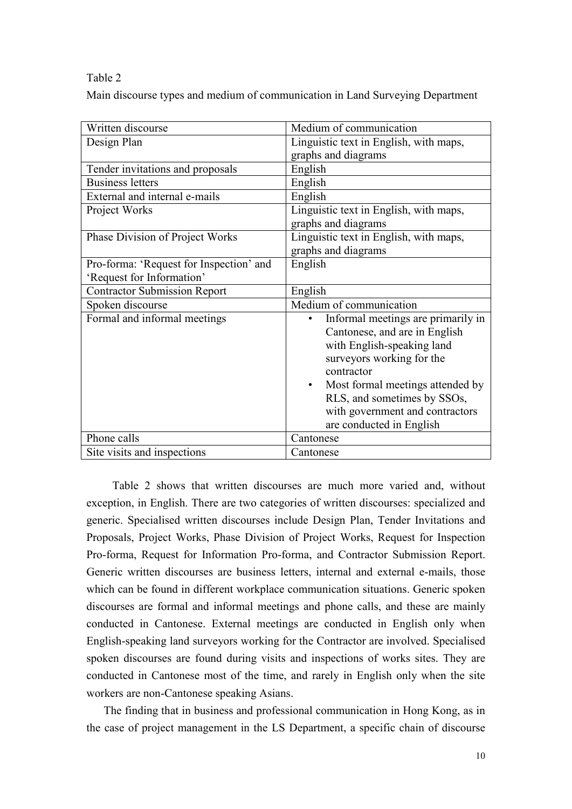#### Table 2

Main discourse types and medium of communication in Land Surveying Department

| Written discourse                       | Medium of communication                       |
|-----------------------------------------|-----------------------------------------------|
| Design Plan                             | Linguistic text in English, with maps,        |
|                                         | graphs and diagrams                           |
| Tender invitations and proposals        | English                                       |
| <b>Business letters</b>                 | English                                       |
| External and internal e-mails           | English                                       |
| Project Works                           | Linguistic text in English, with maps,        |
|                                         | graphs and diagrams                           |
| Phase Division of Project Works         | Linguistic text in English, with maps,        |
|                                         | graphs and diagrams                           |
| Pro-forma: 'Request for Inspection' and | English                                       |
| 'Request for Information'               |                                               |
| <b>Contractor Submission Report</b>     | English                                       |
| Spoken discourse                        | Medium of communication                       |
| Formal and informal meetings            | Informal meetings are primarily in            |
|                                         | Cantonese, and are in English                 |
|                                         | with English-speaking land                    |
|                                         | surveyors working for the                     |
|                                         | contractor                                    |
|                                         | Most formal meetings attended by<br>$\bullet$ |
|                                         | RLS, and sometimes by SSOs,                   |
|                                         | with government and contractors               |
|                                         | are conducted in English                      |
| Phone calls                             | Cantonese                                     |
| Site visits and inspections             | Cantonese                                     |

 Table 2 shows that written discourses are much more varied and, without exception, in English. There are two categories of written discourses: specialized and generic. Specialised written discourses include Design Plan, Tender Invitations and Proposals, Project Works, Phase Division of Project Works, Request for Inspection Pro-forma, Request for Information Pro-forma, and Contractor Submission Report. Generic written discourses are business letters, internal and external e-mails, those which can be found in different workplace communication situations. Generic spoken discourses are formal and informal meetings and phone calls, and these are mainly conducted in Cantonese. External meetings are conducted in English only when English-speaking land surveyors working for the Contractor are involved. Specialised spoken discourses are found during visits and inspections of works sites. They are conducted in Cantonese most of the time, and rarely in English only when the site workers are non-Cantonese speaking Asians.

 The finding that in business and professional communication in Hong Kong, as in the case of project management in the LS Department, a specific chain of discourse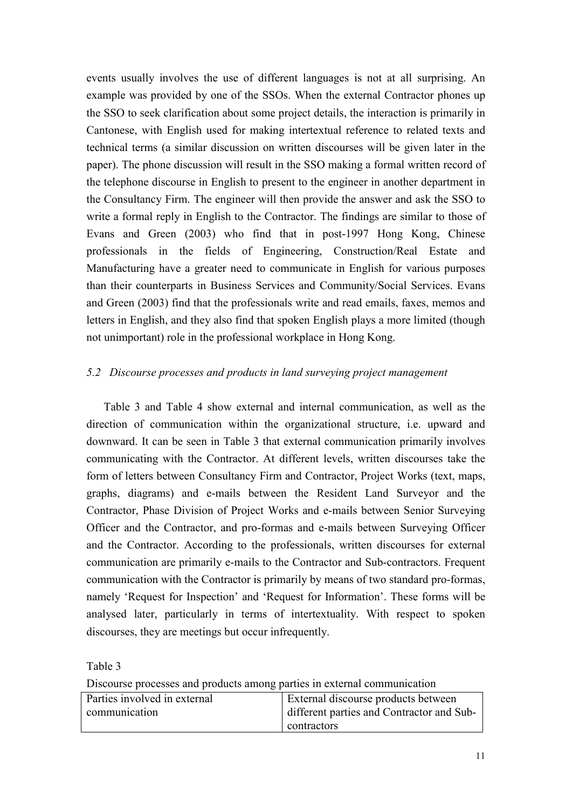events usually involves the use of different languages is not at all surprising. An example was provided by one of the SSOs. When the external Contractor phones up the SSO to seek clarification about some project details, the interaction is primarily in Cantonese, with English used for making intertextual reference to related texts and technical terms (a similar discussion on written discourses will be given later in the paper). The phone discussion will result in the SSO making a formal written record of the telephone discourse in English to present to the engineer in another department in the Consultancy Firm. The engineer will then provide the answer and ask the SSO to write a formal reply in English to the Contractor. The findings are similar to those of Evans and Green (2003) who find that in post-1997 Hong Kong, Chinese professionals in the fields of Engineering, Construction/Real Estate and Manufacturing have a greater need to communicate in English for various purposes than their counterparts in Business Services and Community/Social Services. Evans and Green (2003) find that the professionals write and read emails, faxes, memos and letters in English, and they also find that spoken English plays a more limited (though not unimportant) role in the professional workplace in Hong Kong.

# *5.2 Discourse processes and products in land surveying project management*

 Table 3 and Table 4 show external and internal communication, as well as the direction of communication within the organizational structure, i.e. upward and downward. It can be seen in Table 3 that external communication primarily involves communicating with the Contractor. At different levels, written discourses take the form of letters between Consultancy Firm and Contractor, Project Works (text, maps, graphs, diagrams) and e-mails between the Resident Land Surveyor and the Contractor, Phase Division of Project Works and e-mails between Senior Surveying Officer and the Contractor, and pro-formas and e-mails between Surveying Officer and the Contractor. According to the professionals, written discourses for external communication are primarily e-mails to the Contractor and Sub-contractors. Frequent communication with the Contractor is primarily by means of two standard pro-formas, namely 'Request for Inspection' and 'Request for Information'. These forms will be analysed later, particularly in terms of intertextuality. With respect to spoken discourses, they are meetings but occur infrequently.

Table 3

Discourse processes and products among parties in external communication

| Parties involved in external | External discourse products between       |
|------------------------------|-------------------------------------------|
| communication                | different parties and Contractor and Sub- |
|                              | contractors                               |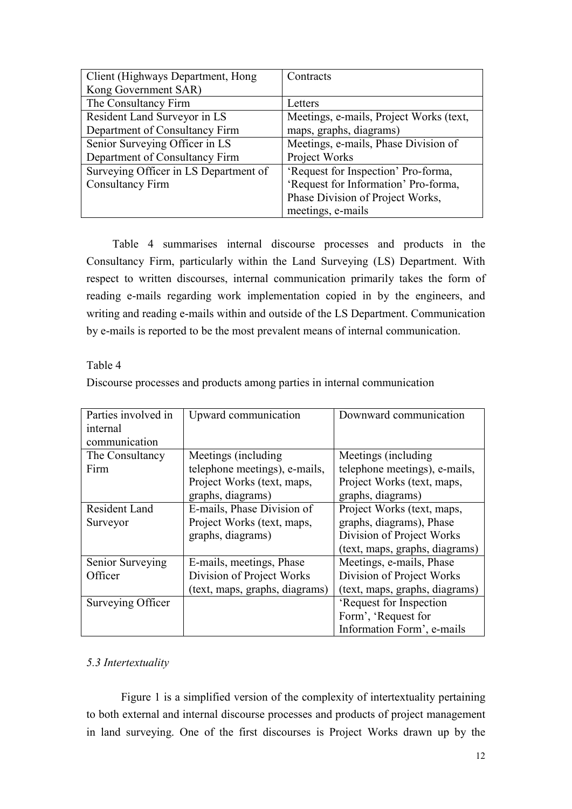| Client (Highways Department, Hong     | Contracts                               |
|---------------------------------------|-----------------------------------------|
| Kong Government SAR)                  |                                         |
| The Consultancy Firm                  | Letters                                 |
| Resident Land Surveyor in LS          | Meetings, e-mails, Project Works (text, |
| Department of Consultancy Firm        | maps, graphs, diagrams)                 |
| Senior Surveying Officer in LS        | Meetings, e-mails, Phase Division of    |
| Department of Consultancy Firm        | Project Works                           |
| Surveying Officer in LS Department of | 'Request for Inspection' Pro-forma,     |
| <b>Consultancy Firm</b>               | 'Request for Information' Pro-forma,    |
|                                       | Phase Division of Project Works,        |
|                                       | meetings, e-mails                       |

 Table 4 summarises internal discourse processes and products in the Consultancy Firm, particularly within the Land Surveying (LS) Department. With respect to written discourses, internal communication primarily takes the form of reading e-mails regarding work implementation copied in by the engineers, and writing and reading e-mails within and outside of the LS Department. Communication by e-mails is reported to be the most prevalent means of internal communication.

Table 4

| Discourse processes and products among parties in internal communication |  |  |  |  |
|--------------------------------------------------------------------------|--|--|--|--|
|                                                                          |  |  |  |  |
|                                                                          |  |  |  |  |

| Parties involved in | Upward communication           | Downward communication         |
|---------------------|--------------------------------|--------------------------------|
| internal            |                                |                                |
| communication       |                                |                                |
|                     |                                |                                |
| The Consultancy     | Meetings (including)           | Meetings (including)           |
| Firm                | telephone meetings), e-mails,  | telephone meetings), e-mails,  |
|                     | Project Works (text, maps,     | Project Works (text, maps,     |
|                     | graphs, diagrams)              | graphs, diagrams)              |
| Resident Land       | E-mails, Phase Division of     | Project Works (text, maps,     |
| Surveyor            | Project Works (text, maps,     | graphs, diagrams), Phase       |
|                     | graphs, diagrams)              | Division of Project Works      |
|                     |                                | (text, maps, graphs, diagrams) |
| Senior Surveying    | E-mails, meetings, Phase       | Meetings, e-mails, Phase       |
| Officer             | Division of Project Works      | Division of Project Works      |
|                     | (text, maps, graphs, diagrams) | (text, maps, graphs, diagrams) |
| Surveying Officer   |                                | 'Request for Inspection        |
|                     |                                | Form', 'Request for            |
|                     |                                | Information Form', e-mails     |

# *5.3 Intertextuality*

 Figure 1 is a simplified version of the complexity of intertextuality pertaining to both external and internal discourse processes and products of project management in land surveying. One of the first discourses is Project Works drawn up by the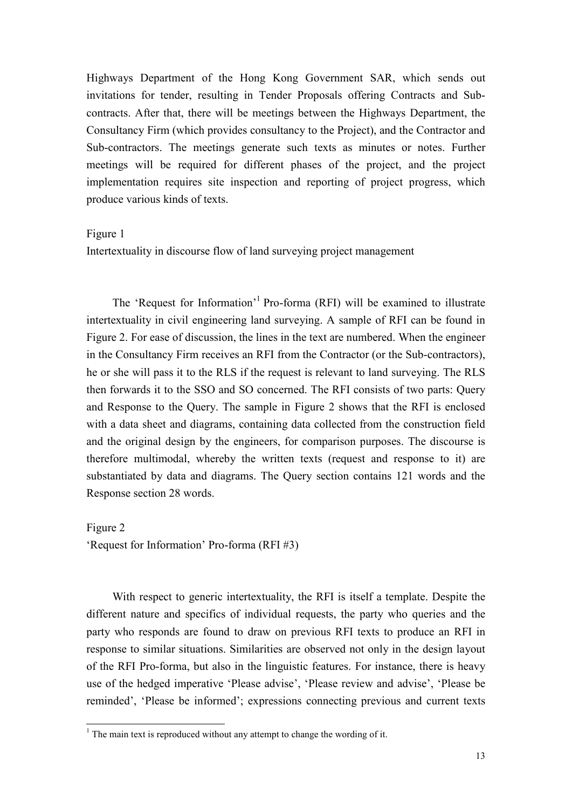Highways Department of the Hong Kong Government SAR, which sends out invitations for tender, resulting in Tender Proposals offering Contracts and Subcontracts. After that, there will be meetings between the Highways Department, the Consultancy Firm (which provides consultancy to the Project), and the Contractor and Sub-contractors. The meetings generate such texts as minutes or notes. Further meetings will be required for different phases of the project, and the project implementation requires site inspection and reporting of project progress, which produce various kinds of texts.

#### Figure 1

Intertextuality in discourse flow of land surveying project management

The 'Request for Information'<sup>1</sup> Pro-forma (RFI) will be examined to illustrate intertextuality in civil engineering land surveying. A sample of RFI can be found in Figure 2. For ease of discussion, the lines in the text are numbered. When the engineer in the Consultancy Firm receives an RFI from the Contractor (or the Sub-contractors), he or she will pass it to the RLS if the request is relevant to land surveying. The RLS then forwards it to the SSO and SO concerned. The RFI consists of two parts: Query and Response to the Query. The sample in Figure 2 shows that the RFI is enclosed with a data sheet and diagrams, containing data collected from the construction field and the original design by the engineers, for comparison purposes. The discourse is therefore multimodal, whereby the written texts (request and response to it) are substantiated by data and diagrams. The Query section contains 121 words and the Response section 28 words.

Figure 2 'Request for Information' Pro-forma (RFI #3)

 With respect to generic intertextuality, the RFI is itself a template. Despite the different nature and specifics of individual requests, the party who queries and the party who responds are found to draw on previous RFI texts to produce an RFI in response to similar situations. Similarities are observed not only in the design layout of the RFI Pro-forma, but also in the linguistic features. For instance, there is heavy use of the hedged imperative 'Please advise', 'Please review and advise', 'Please be reminded', 'Please be informed'; expressions connecting previous and current texts

<sup>&</sup>lt;sup>1</sup> The main text is reproduced without any attempt to change the wording of it.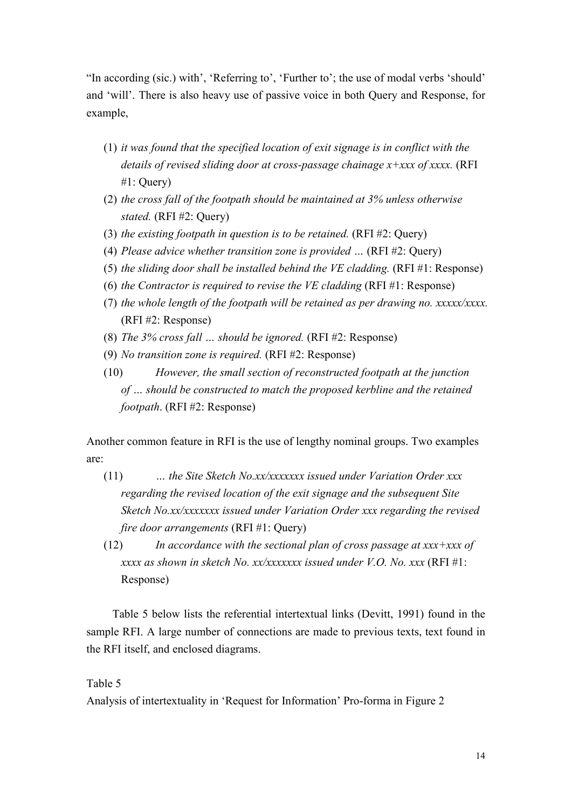"In according (sic.) with', 'Referring to', 'Further to'; the use of modal verbs 'should' and 'will'. There is also heavy use of passive voice in both Query and Response, for example,

- (1) *it was found that the specified location of exit signage is in conflict with the details of revised sliding door at cross-passage chainage x+xxx of xxxx.* (RFI #1: Query)
- (2) *the cross fall of the footpath should be maintained at 3% unless otherwise stated.* (RFI #2: Query)
- (3) *the existing footpath in question is to be retained.* (RFI #2: Query)
- (4) *Please advice whether transition zone is provided …* (RFI #2: Query)
- (5) *the sliding door shall be installed behind the VE cladding.* (RFI #1: Response)
- (6) *the Contractor is required to revise the VE cladding* (RFI #1: Response)
- (7) *the whole length of the footpath will be retained as per drawing no. xxxxx/xxxx.* (RFI #2: Response)
- (8) *The 3% cross fall … should be ignored.* (RFI #2: Response)
- (9) *No transition zone is required.* (RFI #2: Response)
- (10) *However, the small section of reconstructed footpath at the junction of … should be constructed to match the proposed kerbline and the retained footpath*. (RFI #2: Response)

Another common feature in RFI is the use of lengthy nominal groups. Two examples are:

- (11) *… the Site Sketch No.xx/xxxxxxx issued under Variation Order xxx regarding the revised location of the exit signage and the subsequent Site Sketch No.xx/xxxxxxx issued under Variation Order xxx regarding the revised fire door arrangements* (RFI #1: Query)
- (12) *In accordance with the sectional plan of cross passage at xxx+xxx of xxxx as shown in sketch No. xx/xxxxxxx issued under V.O. No. xxx* (RFI #1: Response)

 Table 5 below lists the referential intertextual links (Devitt, 1991) found in the sample RFI. A large number of connections are made to previous texts, text found in the RFI itself, and enclosed diagrams.

# Table 5

Analysis of intertextuality in 'Request for Information' Pro-forma in Figure 2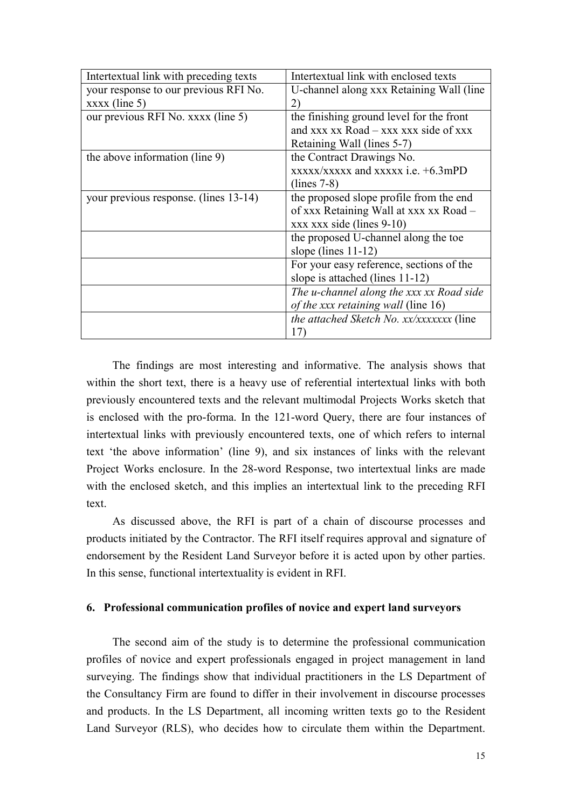| Intertextual link with preceding texts | Intertextual link with enclosed texts                   |
|----------------------------------------|---------------------------------------------------------|
| your response to our previous RFI No.  | U-channel along xxx Retaining Wall (line                |
| $xxxx$ (line 5)                        | 2)                                                      |
| our previous RFI No. xxxx (line 5)     | the finishing ground level for the front                |
|                                        | and $xxx$ $xx$ Road $ xxx$ $xx$ $x$ side of $xxx$       |
|                                        | Retaining Wall (lines 5-7)                              |
| the above information (line 9)         | the Contract Drawings No.                               |
|                                        | $\overline{\text{XXX}}$ xxxxxxxx and xxxxx i.e. +6.3mPD |
|                                        | $(lines 7-8)$                                           |
| your previous response. (lines 13-14)  | the proposed slope profile from the end                 |
|                                        | of xxx Retaining Wall at xxx xx Road –                  |
|                                        | $xxxx$ xxx side (lines 9-10)                            |
|                                        | the proposed U-channel along the toe                    |
|                                        | slope (lines $11-12$ )                                  |
|                                        | For your easy reference, sections of the                |
|                                        | slope is attached (lines $11-12$ )                      |
|                                        | The u-channel along the xxx xx Road side                |
|                                        | of the xxx retaining wall (line 16)                     |
|                                        | <i>the attached Sketch No. xx/xxxxxxx</i> (line         |
|                                        | 17)                                                     |

 The findings are most interesting and informative. The analysis shows that within the short text, there is a heavy use of referential intertextual links with both previously encountered texts and the relevant multimodal Projects Works sketch that is enclosed with the pro-forma. In the 121-word Query, there are four instances of intertextual links with previously encountered texts, one of which refers to internal text 'the above information' (line 9), and six instances of links with the relevant Project Works enclosure. In the 28-word Response, two intertextual links are made with the enclosed sketch, and this implies an intertextual link to the preceding RFI text.

 As discussed above, the RFI is part of a chain of discourse processes and products initiated by the Contractor. The RFI itself requires approval and signature of endorsement by the Resident Land Surveyor before it is acted upon by other parties. In this sense, functional intertextuality is evident in RFI.

#### **6. Professional communication profiles of novice and expert land surveyors**

 The second aim of the study is to determine the professional communication profiles of novice and expert professionals engaged in project management in land surveying. The findings show that individual practitioners in the LS Department of the Consultancy Firm are found to differ in their involvement in discourse processes and products. In the LS Department, all incoming written texts go to the Resident Land Surveyor (RLS), who decides how to circulate them within the Department.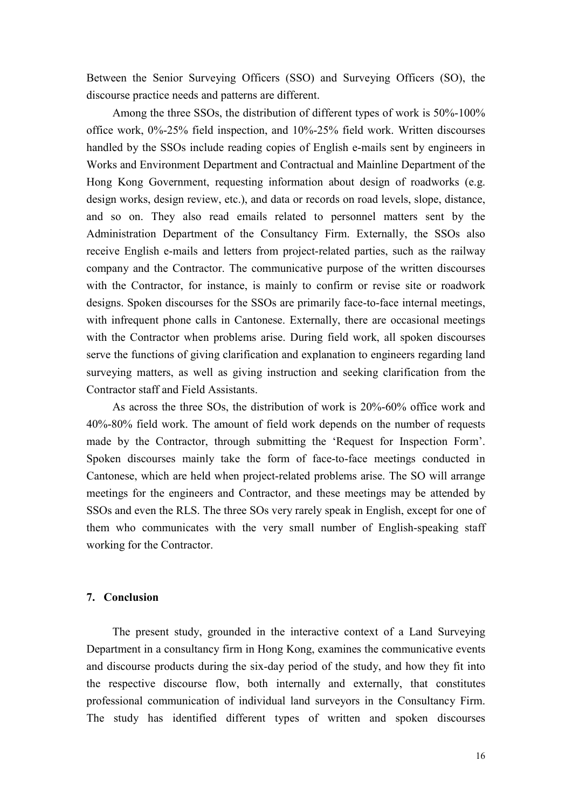Between the Senior Surveying Officers (SSO) and Surveying Officers (SO), the discourse practice needs and patterns are different.

 Among the three SSOs, the distribution of different types of work is 50%-100% office work, 0%-25% field inspection, and 10%-25% field work. Written discourses handled by the SSOs include reading copies of English e-mails sent by engineers in Works and Environment Department and Contractual and Mainline Department of the Hong Kong Government, requesting information about design of roadworks (e.g. design works, design review, etc.), and data or records on road levels, slope, distance, and so on. They also read emails related to personnel matters sent by the Administration Department of the Consultancy Firm. Externally, the SSOs also receive English e-mails and letters from project-related parties, such as the railway company and the Contractor. The communicative purpose of the written discourses with the Contractor, for instance, is mainly to confirm or revise site or roadwork designs. Spoken discourses for the SSOs are primarily face-to-face internal meetings, with infrequent phone calls in Cantonese. Externally, there are occasional meetings with the Contractor when problems arise. During field work, all spoken discourses serve the functions of giving clarification and explanation to engineers regarding land surveying matters, as well as giving instruction and seeking clarification from the Contractor staff and Field Assistants.

 As across the three SOs, the distribution of work is 20%-60% office work and 40%-80% field work. The amount of field work depends on the number of requests made by the Contractor, through submitting the 'Request for Inspection Form'. Spoken discourses mainly take the form of face-to-face meetings conducted in Cantonese, which are held when project-related problems arise. The SO will arrange meetings for the engineers and Contractor, and these meetings may be attended by SSOs and even the RLS. The three SOs very rarely speak in English, except for one of them who communicates with the very small number of English-speaking staff working for the Contractor.

## **7. Conclusion**

 The present study, grounded in the interactive context of a Land Surveying Department in a consultancy firm in Hong Kong, examines the communicative events and discourse products during the six-day period of the study, and how they fit into the respective discourse flow, both internally and externally, that constitutes professional communication of individual land surveyors in the Consultancy Firm. The study has identified different types of written and spoken discourses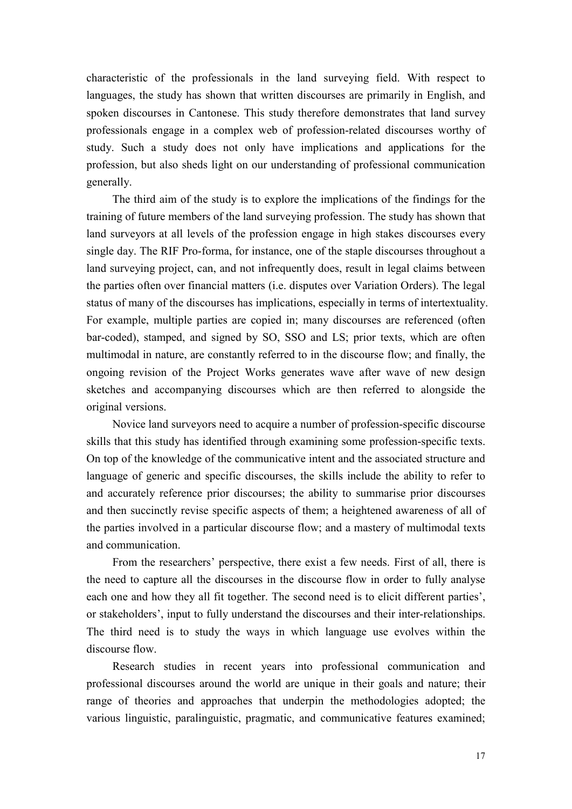characteristic of the professionals in the land surveying field. With respect to languages, the study has shown that written discourses are primarily in English, and spoken discourses in Cantonese. This study therefore demonstrates that land survey professionals engage in a complex web of profession-related discourses worthy of study. Such a study does not only have implications and applications for the profession, but also sheds light on our understanding of professional communication generally.

 The third aim of the study is to explore the implications of the findings for the training of future members of the land surveying profession. The study has shown that land surveyors at all levels of the profession engage in high stakes discourses every single day. The RIF Pro-forma, for instance, one of the staple discourses throughout a land surveying project, can, and not infrequently does, result in legal claims between the parties often over financial matters (i.e. disputes over Variation Orders). The legal status of many of the discourses has implications, especially in terms of intertextuality. For example, multiple parties are copied in; many discourses are referenced (often bar-coded), stamped, and signed by SO, SSO and LS; prior texts, which are often multimodal in nature, are constantly referred to in the discourse flow; and finally, the ongoing revision of the Project Works generates wave after wave of new design sketches and accompanying discourses which are then referred to alongside the original versions.

 Novice land surveyors need to acquire a number of profession-specific discourse skills that this study has identified through examining some profession-specific texts. On top of the knowledge of the communicative intent and the associated structure and language of generic and specific discourses, the skills include the ability to refer to and accurately reference prior discourses; the ability to summarise prior discourses and then succinctly revise specific aspects of them; a heightened awareness of all of the parties involved in a particular discourse flow; and a mastery of multimodal texts and communication.

 From the researchers' perspective, there exist a few needs. First of all, there is the need to capture all the discourses in the discourse flow in order to fully analyse each one and how they all fit together. The second need is to elicit different parties', or stakeholders', input to fully understand the discourses and their inter-relationships. The third need is to study the ways in which language use evolves within the discourse flow.

 Research studies in recent years into professional communication and professional discourses around the world are unique in their goals and nature; their range of theories and approaches that underpin the methodologies adopted; the various linguistic, paralinguistic, pragmatic, and communicative features examined;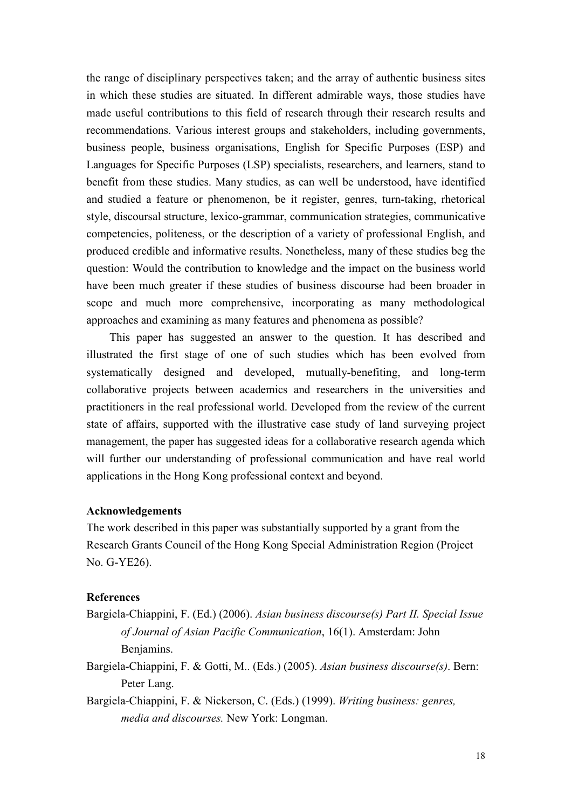the range of disciplinary perspectives taken; and the array of authentic business sites in which these studies are situated. In different admirable ways, those studies have made useful contributions to this field of research through their research results and recommendations. Various interest groups and stakeholders, including governments, business people, business organisations, English for Specific Purposes (ESP) and Languages for Specific Purposes (LSP) specialists, researchers, and learners, stand to benefit from these studies. Many studies, as can well be understood, have identified and studied a feature or phenomenon, be it register, genres, turn-taking, rhetorical style, discoursal structure, lexico-grammar, communication strategies, communicative competencies, politeness, or the description of a variety of professional English, and produced credible and informative results. Nonetheless, many of these studies beg the question: Would the contribution to knowledge and the impact on the business world have been much greater if these studies of business discourse had been broader in scope and much more comprehensive, incorporating as many methodological approaches and examining as many features and phenomena as possible?

This paper has suggested an answer to the question. It has described and illustrated the first stage of one of such studies which has been evolved from systematically designed and developed, mutually-benefiting, and long-term collaborative projects between academics and researchers in the universities and practitioners in the real professional world. Developed from the review of the current state of affairs, supported with the illustrative case study of land surveying project management, the paper has suggested ideas for a collaborative research agenda which will further our understanding of professional communication and have real world applications in the Hong Kong professional context and beyond.

## **Acknowledgements**

The work described in this paper was substantially supported by a grant from the Research Grants Council of the Hong Kong Special Administration Region (Project No. G-YE26).

### **References**

- Bargiela-Chiappini, F. (Ed.) (2006). *Asian business discourse(s) Part II. Special Issue of Journal of Asian Pacific Communication*, 16(1). Amsterdam: John Benjamins.
- Bargiela-Chiappini, F. & Gotti, M.. (Eds.) (2005). *Asian business discourse(s)*. Bern: Peter Lang.
- Bargiela-Chiappini, F. & Nickerson, C. (Eds.) (1999). *Writing business: genres, media and discourses.* New York: Longman.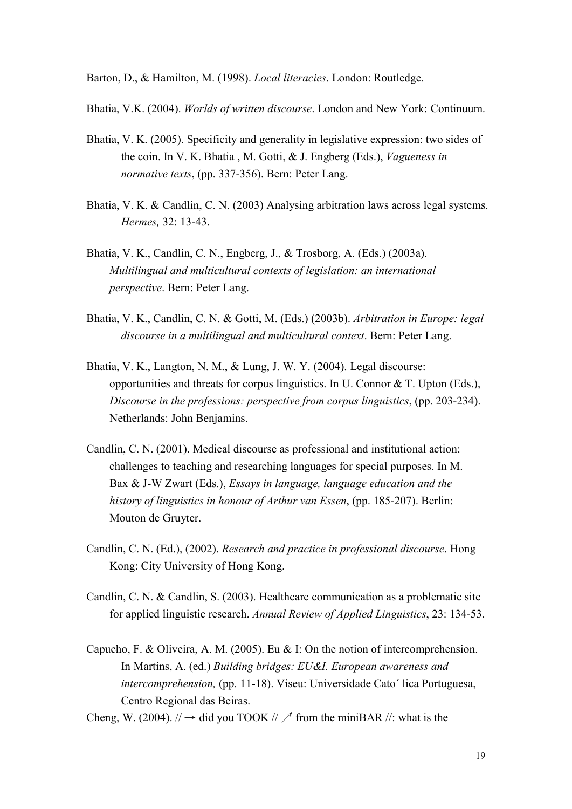Barton, D., & Hamilton, M. (1998). *Local literacies*. London: Routledge.

Bhatia, V.K. (2004). *Worlds of written discourse*. London and New York: Continuum.

- Bhatia, V. K. (2005). Specificity and generality in legislative expression: two sides of the coin. In V. K. Bhatia , M. Gotti, & J. Engberg (Eds.), *Vagueness in normative texts*, (pp. 337-356). Bern: Peter Lang.
- Bhatia, V. K. & Candlin, C. N. (2003) Analysing arbitration laws across legal systems. *Hermes,* 32: 13-43.
- Bhatia, V. K., Candlin, C. N., Engberg, J., & Trosborg, A. (Eds.) (2003a). *Multilingual and multicultural contexts of legislation: an international perspective*. Bern: Peter Lang.
- Bhatia, V. K., Candlin, C. N. & Gotti, M. (Eds.) (2003b). *Arbitration in Europe: legal discourse in a multilingual and multicultural context*. Bern: Peter Lang.
- Bhatia, V. K., Langton, N. M., & Lung, J. W. Y. (2004). Legal discourse: opportunities and threats for corpus linguistics. In U. Connor & T. Upton (Eds.), *Discourse in the professions: perspective from corpus linguistics*, (pp. 203-234). Netherlands: John Benjamins.
- Candlin, C. N. (2001). Medical discourse as professional and institutional action: challenges to teaching and researching languages for special purposes. In M. Bax & J-W Zwart (Eds.), *Essays in language, language education and the history of linguistics in honour of Arthur van Essen*, (pp. 185-207). Berlin: Mouton de Gruyter.
- Candlin, C. N. (Ed.), (2002). *Research and practice in professional discourse*. Hong Kong: City University of Hong Kong.
- Candlin, C. N. & Candlin, S. (2003). Healthcare communication as a problematic site for applied linguistic research. *Annual Review of Applied Linguistics*, 23: 134-53.
- Capucho, F. & Oliveira, A. M. (2005). Eu & I: On the notion of intercomprehension. In Martins, A. (ed.) *Building bridges: EU&I. European awareness and intercomprehension,* (pp. 11-18). Viseu: Universidade Cato´ lica Portuguesa, Centro Regional das Beiras.
- Cheng, W. (2004).  $\pi$   $\rightarrow$  did you TOOK  $\pi$   $\rightarrow$  from the miniBAR  $\pi$ : what is the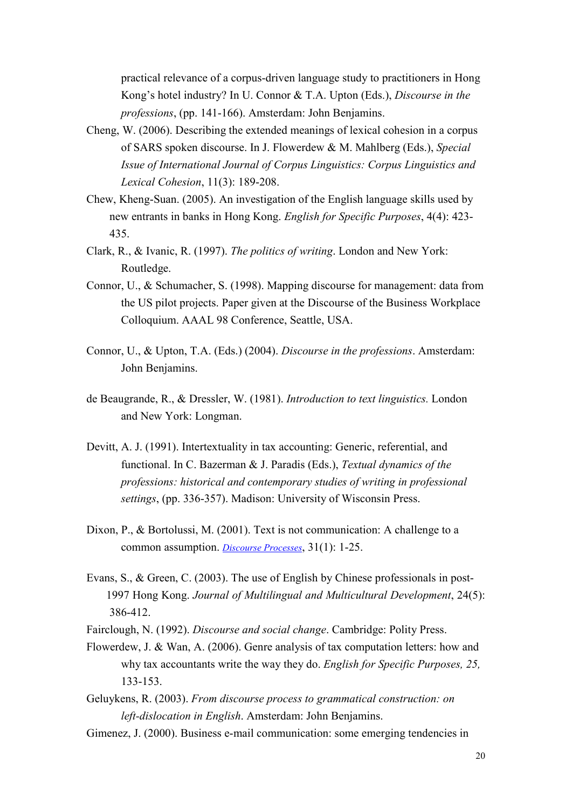practical relevance of a corpus-driven language study to practitioners in Hong Kong's hotel industry? In U. Connor & T.A. Upton (Eds.), *Discourse in the professions*, (pp. 141-166). Amsterdam: John Benjamins.

- Cheng, W. (2006). Describing the extended meanings of lexical cohesion in a corpus of SARS spoken discourse. In J. Flowerdew & M. Mahlberg (Eds.), *Special Issue of International Journal of Corpus Linguistics: Corpus Linguistics and Lexical Cohesion*, 11(3): 189-208.
- Chew, Kheng-Suan. (2005). An investigation of the English language skills used by new entrants in banks in Hong Kong. *English for Specific Purposes*, 4(4): 423- 435.
- Clark, R., & Ivanic, R. (1997). *The politics of writing*. London and New York: Routledge.
- Connor, U., & Schumacher, S. (1998). Mapping discourse for management: data from the US pilot projects. Paper given at the Discourse of the Business Workplace Colloquium. AAAL 98 Conference, Seattle, USA.
- Connor, U., & Upton, T.A. (Eds.) (2004). *Discourse in the professions*. Amsterdam: John Benjamins.
- de Beaugrande, R., & Dressler, W. (1981). *Introduction to text linguistics.* London and New York: Longman.
- Devitt, A. J. (1991). Intertextuality in tax accounting: Generic, referential, and functional. In C. Bazerman & J. Paradis (Eds.), *Textual dynamics of the professions: historical and contemporary studies of writing in professional settings*, (pp. 336-357). Madison: University of Wisconsin Press.
- Dixon, P., & Bortolussi, M. (2001). Text is not communication: A challenge to a common assumption. *Discourse Processes*, 31(1): 1-25.
- Evans, S., & Green, C. (2003). The use of English by Chinese professionals in post- 1997 Hong Kong. *Journal of Multilingual and Multicultural Development*, 24(5): 386-412.
- Fairclough, N. (1992). *Discourse and social change*. Cambridge: Polity Press.
- Flowerdew, J. & Wan, A. (2006). Genre analysis of tax computation letters: how and why tax accountants write the way they do. *English for Specific Purposes, 25,*  133-153.
- Geluykens, R. (2003). *From discourse process to grammatical construction: on left-dislocation in English*. Amsterdam: John Benjamins.
- Gimenez, J. (2000). Business e-mail communication: some emerging tendencies in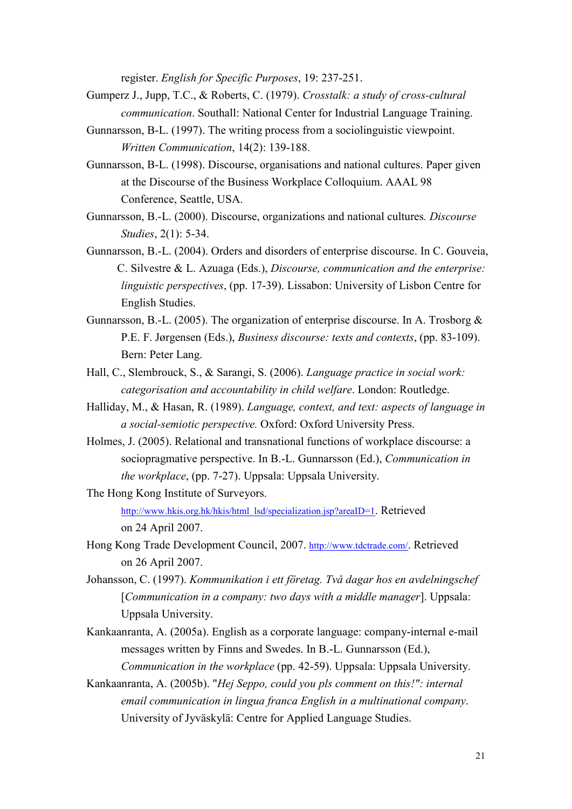register. *English for Specific Purposes*, 19: 237-251.

- Gumperz J., Jupp, T.C., & Roberts, C. (1979). *Crosstalk: a study of cross-cultural communication*. Southall: National Center for Industrial Language Training.
- Gunnarsson, B-L. (1997). The writing process from a sociolinguistic viewpoint. *Written Communication*, 14(2): 139-188.
- Gunnarsson, B-L. (1998). Discourse, organisations and national cultures. Paper given at the Discourse of the Business Workplace Colloquium. AAAL 98 Conference, Seattle, USA.
- Gunnarsson, B.-L. (2000). Discourse, organizations and national cultures*. Discourse Studies*, 2(1): 5-34.
- Gunnarsson, B.-L. (2004). Orders and disorders of enterprise discourse. In C. Gouveia, C. Silvestre & L. Azuaga (Eds.), *Discourse, communication and the enterprise: linguistic perspectives*, (pp. 17-39). Lissabon: University of Lisbon Centre for English Studies.
- Gunnarsson, B.-L. (2005). The organization of enterprise discourse. In A. Trosborg & P.E. F. Jørgensen (Eds.), *Business discourse: texts and contexts*, (pp. 83-109). Bern: Peter Lang.
- Hall, C., Slembrouck, S., & Sarangi, S. (2006). *Language practice in social work: categorisation and accountability in child welfare*. London: Routledge.
- Halliday, M., & Hasan, R. (1989). *Language, context, and text: aspects of language in a social-semiotic perspective.* Oxford: Oxford University Press.
- Holmes, J. (2005). Relational and transnational functions of workplace discourse: a sociopragmative perspective. In B.-L. Gunnarsson (Ed.), *Communication in the workplace*, (pp. 7-27). Uppsala: Uppsala University.
- The Hong Kong Institute of Surveyors. http://www.hkis.org.hk/hkis/html\_lsd/specialization.jsp?areaID=1. Retrieved on 24 April 2007.
- Hong Kong Trade Development Council, 2007. http://www.tdctrade.com/. Retrieved on 26 April 2007.
- Johansson, C. (1997). *Kommunikation i ett företag. Två dagar hos en avdelningschef*  [*Communication in a company: two days with a middle manager*]. Uppsala: Uppsala University.
- Kankaanranta, A. (2005a). English as a corporate language: company-internal e-mail messages written by Finns and Swedes. In B.-L. Gunnarsson (Ed.), *Communication in the workplace* (pp. 42-59). Uppsala: Uppsala University.
- Kankaanranta, A. (2005b). "*Hej Seppo, could you pls comment on this!": internal email communication in lingua franca English in a multinational company*. University of Jyväskylä: Centre for Applied Language Studies.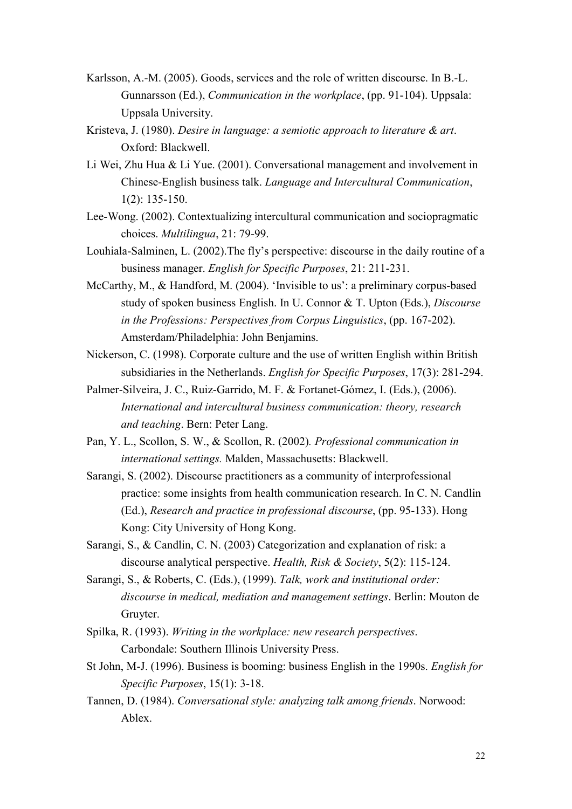- Karlsson, A.-M. (2005). Goods, services and the role of written discourse. In B.-L. Gunnarsson (Ed.), *Communication in the workplace*, (pp. 91-104). Uppsala: Uppsala University.
- Kristeva, J. (1980). *Desire in language: a semiotic approach to literature & art*. Oxford: Blackwell.
- Li Wei, Zhu Hua & Li Yue. (2001). Conversational management and involvement in Chinese-English business talk. *Language and Intercultural Communication*, 1(2): 135-150.
- Lee-Wong. (2002). Contextualizing intercultural communication and sociopragmatic choices. *Multilingua*, 21: 79-99.
- Louhiala-Salminen, L. (2002).The fly's perspective: discourse in the daily routine of a business manager. *English for Specific Purposes*, 21: 211-231.
- McCarthy, M., & Handford, M. (2004). 'Invisible to us': a preliminary corpus-based study of spoken business English. In U. Connor & T. Upton (Eds.), *Discourse in the Professions: Perspectives from Corpus Linguistics*, (pp. 167-202). Amsterdam/Philadelphia: John Benjamins.
- Nickerson, C. (1998). Corporate culture and the use of written English within British subsidiaries in the Netherlands. *English for Specific Purposes*, 17(3): 281-294.
- Palmer-Silveira, J. C., Ruiz-Garrido, M. F. & Fortanet-Gómez, I. (Eds.), (2006). *International and intercultural business communication: theory, research and teaching*. Bern: Peter Lang.
- Pan, Y. L., Scollon, S. W., & Scollon, R. (2002)*. Professional communication in international settings.* Malden, Massachusetts: Blackwell.
- Sarangi, S. (2002). Discourse practitioners as a community of interprofessional practice: some insights from health communication research. In C. N. Candlin (Ed.), *Research and practice in professional discourse*, (pp. 95-133). Hong Kong: City University of Hong Kong.
- Sarangi, S., & Candlin, C. N. (2003) Categorization and explanation of risk: a discourse analytical perspective. *Health, Risk & Society*, 5(2): 115-124.
- Sarangi, S., & Roberts, C. (Eds.), (1999). *Talk, work and institutional order: discourse in medical, mediation and management settings*. Berlin: Mouton de Gruyter.
- Spilka, R. (1993). *Writing in the workplace: new research perspectives*. Carbondale: Southern Illinois University Press.
- St John, M-J. (1996). Business is booming: business English in the 1990s. *English for Specific Purposes*, 15(1): 3-18.
- Tannen, D. (1984). *Conversational style: analyzing talk among friends*. Norwood: Ablex.